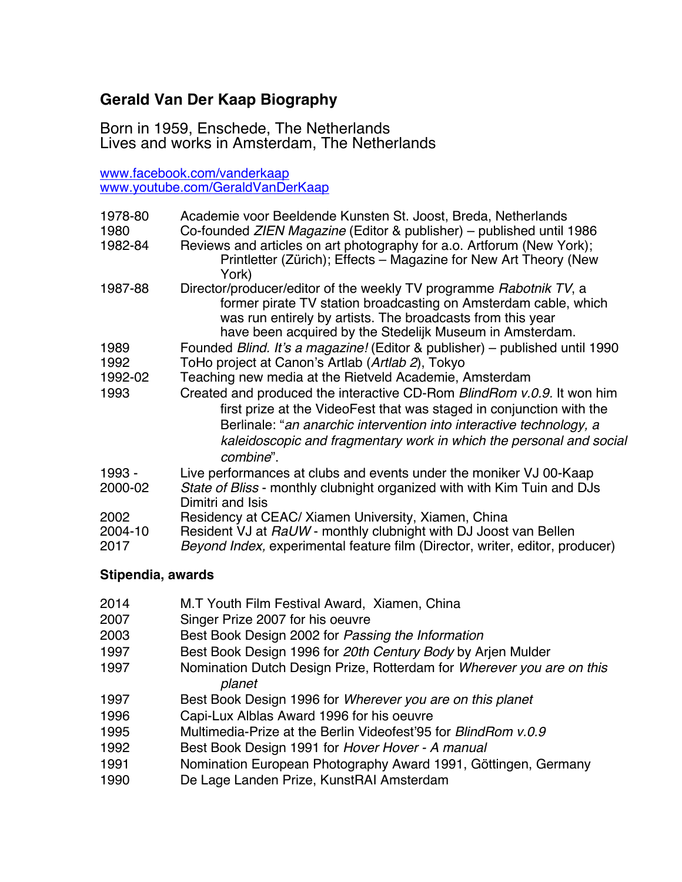# **Gerald Van Der Kaap Biography**

Born in 1959, Enschede, The Netherlands Lives and works in Amsterdam, The Netherlands

www.facebook.com/vanderkaap www.youtube.com/GeraldVanDerKaap

| 1978-80                 | Academie voor Beeldende Kunsten St. Joost, Breda, Netherlands                                                                                                                                                                                                                                             |
|-------------------------|-----------------------------------------------------------------------------------------------------------------------------------------------------------------------------------------------------------------------------------------------------------------------------------------------------------|
| 1980                    | Co-founded ZIEN Magazine (Editor & publisher) – published until 1986                                                                                                                                                                                                                                      |
| 1982-84                 | Reviews and articles on art photography for a.o. Artforum (New York);<br>Printletter (Zürich); Effects – Magazine for New Art Theory (New<br>York)                                                                                                                                                        |
| 1987-88                 | Director/producer/editor of the weekly TV programme Rabotnik TV, a<br>former pirate TV station broadcasting on Amsterdam cable, which<br>was run entirely by artists. The broadcasts from this year<br>have been acquired by the Stedelijk Museum in Amsterdam.                                           |
| 1989                    | Founded Blind. It's a magazine! (Editor & publisher) - published until 1990                                                                                                                                                                                                                               |
| 1992                    | ToHo project at Canon's Artlab (Artlab 2), Tokyo                                                                                                                                                                                                                                                          |
| 1992-02                 | Teaching new media at the Rietveld Academie, Amsterdam                                                                                                                                                                                                                                                    |
| 1993                    | Created and produced the interactive CD-Rom BlindRom v.0.9. It won him<br>first prize at the VideoFest that was staged in conjunction with the<br>Berlinale: "an anarchic intervention into interactive technology, a<br>kaleidoscopic and fragmentary work in which the personal and social<br>combine". |
| 1993 -<br>2000-02       | Live performances at clubs and events under the moniker VJ 00-Kaap<br>State of Bliss - monthly clubnight organized with with Kim Tuin and DJs<br>Dimitri and Isis                                                                                                                                         |
| 2002<br>2004-10<br>2017 | Residency at CEAC/ Xiamen University, Xiamen, China<br>Resident VJ at RaUW - monthly clubnight with DJ Joost van Bellen<br>Beyond Index, experimental feature film (Director, writer, editor, producer)                                                                                                   |
|                         |                                                                                                                                                                                                                                                                                                           |

# **Stipendia, awards**

| 2014 | M.T Youth Film Festival Award, Xiamen, China                          |
|------|-----------------------------------------------------------------------|
| 2007 | Singer Prize 2007 for his oeuvre                                      |
| 2003 | Best Book Design 2002 for Passing the Information                     |
| 1997 | Best Book Design 1996 for 20th Century Body by Arjen Mulder           |
| 1997 | Nomination Dutch Design Prize, Rotterdam for Wherever you are on this |
|      | planet                                                                |
| 1997 | Best Book Design 1996 for Wherever you are on this planet             |
| 1996 | Capi-Lux Alblas Award 1996 for his oeuvre                             |
| 1995 | Multimedia-Prize at the Berlin Videofest'95 for <i>BlindRom v.0.9</i> |
| 1992 | Best Book Design 1991 for Hover Hover - A manual                      |
| 1991 | Nomination European Photography Award 1991, Göttingen, Germany        |
| 1990 | De Lage Landen Prize, KunstRAI Amsterdam                              |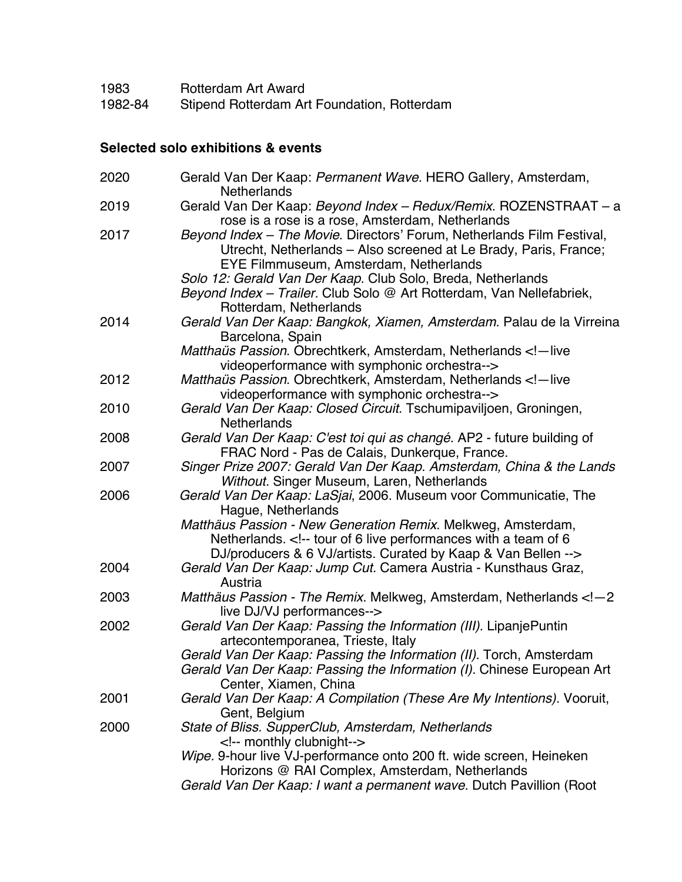| 1983    | Rotterdam Art Award                         |
|---------|---------------------------------------------|
| 1982-84 | Stipend Rotterdam Art Foundation, Rotterdam |

# **Selected solo exhibitions & events**

| 2020 | Gerald Van Der Kaap: Permanent Wave. HERO Gallery, Amsterdam,<br><b>Netherlands</b>                                                                                                                                                                                                                     |
|------|---------------------------------------------------------------------------------------------------------------------------------------------------------------------------------------------------------------------------------------------------------------------------------------------------------|
| 2019 | Gerald Van Der Kaap: Beyond Index - Redux/Remix. ROZENSTRAAT - a                                                                                                                                                                                                                                        |
| 2017 | rose is a rose is a rose, Amsterdam, Netherlands<br>Beyond Index - The Movie. Directors' Forum, Netherlands Film Festival,<br>Utrecht, Netherlands - Also screened at Le Brady, Paris, France;<br>EYE Filmmuseum, Amsterdam, Netherlands<br>Solo 12: Gerald Van Der Kaap. Club Solo, Breda, Netherlands |
|      | Beyond Index - Trailer. Club Solo @ Art Rotterdam, Van Nellefabriek,<br>Rotterdam, Netherlands                                                                                                                                                                                                          |
| 2014 | Gerald Van Der Kaap: Bangkok, Xiamen, Amsterdam. Palau de la Virreina<br>Barcelona, Spain                                                                                                                                                                                                               |
|      | Matthaüs Passion. Obrechtkerk, Amsterdam, Netherlands - live<br videoperformance with symphonic orchestra-->                                                                                                                                                                                            |
| 2012 | Matthaüs Passion. Obrechtkerk, Amsterdam, Netherlands - live<br videoperformance with symphonic orchestra-->                                                                                                                                                                                            |
| 2010 | Gerald Van Der Kaap: Closed Circuit. Tschumipaviljoen, Groningen,<br><b>Netherlands</b>                                                                                                                                                                                                                 |
| 2008 | Gerald Van Der Kaap: C'est toi qui as changé. AP2 - future building of<br>FRAC Nord - Pas de Calais, Dunkerque, France.                                                                                                                                                                                 |
| 2007 | Singer Prize 2007: Gerald Van Der Kaap. Amsterdam, China & the Lands                                                                                                                                                                                                                                    |
| 2006 | Without. Singer Museum, Laren, Netherlands<br>Gerald Van Der Kaap: LaSjai, 2006. Museum voor Communicatie, The                                                                                                                                                                                          |
|      | Hague, Netherlands<br>Matthäus Passion - New Generation Remix. Melkweg, Amsterdam,<br>Netherlands. tour of 6 live performances with a team of 6<br>DJ/producers & 6 VJ/artists. Curated by Kaap & Van Bellen                                                                                            |
| 2004 | Gerald Van Der Kaap: Jump Cut. Camera Austria - Kunsthaus Graz,<br>Austria                                                                                                                                                                                                                              |
| 2003 | Matthäus Passion - The Remix. Melkweg, Amsterdam, Netherlands - 2<br live DJ/VJ performances-->                                                                                                                                                                                                         |
| 2002 | Gerald Van Der Kaap: Passing the Information (III). LipanjePuntin<br>artecontemporanea, Trieste, Italy                                                                                                                                                                                                  |
|      | Gerald Van Der Kaap: Passing the Information (II). Torch, Amsterdam<br>Gerald Van Der Kaap: Passing the Information (I). Chinese European Art<br>Center, Xiamen, China                                                                                                                                  |
| 2001 | Gerald Van Der Kaap: A Compilation (These Are My Intentions). Vooruit,<br>Gent, Belgium                                                                                                                                                                                                                 |
| 2000 | State of Bliss. SupperClub, Amsterdam, Netherlands<br>monthly clubnight                                                                                                                                                                                                                                 |
|      | Wipe. 9-hour live VJ-performance onto 200 ft. wide screen, Heineken<br>Horizons @ RAI Complex, Amsterdam, Netherlands                                                                                                                                                                                   |
|      | Gerald Van Der Kaap: I want a permanent wave. Dutch Pavillion (Root                                                                                                                                                                                                                                     |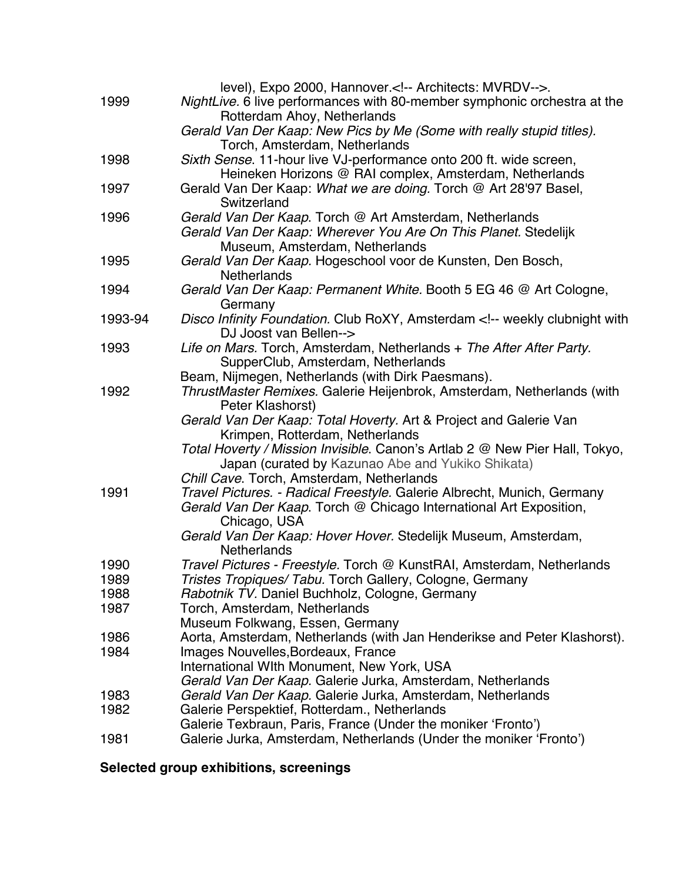| 1999    | level), Expo 2000, Hannover. Architects: MVRDV .<br>NightLive. 6 live performances with 80-member symphonic orchestra at the<br>Rotterdam Ahoy, Netherlands  |
|---------|--------------------------------------------------------------------------------------------------------------------------------------------------------------|
|         | Gerald Van Der Kaap: New Pics by Me (Some with really stupid titles).<br>Torch, Amsterdam, Netherlands                                                       |
| 1998    | Sixth Sense. 11-hour live VJ-performance onto 200 ft. wide screen,<br>Heineken Horizons @ RAI complex, Amsterdam, Netherlands                                |
| 1997    | Gerald Van Der Kaap: What we are doing. Torch @ Art 28'97 Basel,<br>Switzerland                                                                              |
| 1996    | Gerald Van Der Kaap. Torch @ Art Amsterdam, Netherlands<br>Gerald Van Der Kaap: Wherever You Are On This Planet. Stedelijk<br>Museum, Amsterdam, Netherlands |
| 1995    | Gerald Van Der Kaap. Hogeschool voor de Kunsten, Den Bosch,<br><b>Netherlands</b>                                                                            |
| 1994    | Gerald Van Der Kaap: Permanent White. Booth 5 EG 46 @ Art Cologne,<br>Germany                                                                                |
| 1993-94 | Disco Infinity Foundation. Club RoXY, Amsterdam weekly clubnight with<br>DJ Joost van Bellen                                                                 |
| 1993    | Life on Mars. Torch, Amsterdam, Netherlands + The After After Party.<br>SupperClub, Amsterdam, Netherlands                                                   |
|         | Beam, Nijmegen, Netherlands (with Dirk Paesmans).                                                                                                            |
| 1992    | ThrustMaster Remixes. Galerie Heijenbrok, Amsterdam, Netherlands (with<br>Peter Klashorst)                                                                   |
|         | Gerald Van Der Kaap: Total Hoverty. Art & Project and Galerie Van<br>Krimpen, Rotterdam, Netherlands                                                         |
|         | Total Hoverty / Mission Invisible. Canon's Artlab 2 @ New Pier Hall, Tokyo,<br>Japan (curated by Kazunao Abe and Yukiko Shikata)                             |
|         | Chill Cave. Torch, Amsterdam, Netherlands                                                                                                                    |
| 1991    | Travel Pictures. - Radical Freestyle. Galerie Albrecht, Munich, Germany<br>Gerald Van Der Kaap. Torch @ Chicago International Art Exposition,                |
|         | Chicago, USA<br>Gerald Van Der Kaap: Hover Hover. Stedelijk Museum, Amsterdam,<br><b>Netherlands</b>                                                         |
| 1990    | Travel Pictures - Freestyle. Torch @ KunstRAI, Amsterdam, Netherlands                                                                                        |
| 1989    | Tristes Tropiques/ Tabu. Torch Gallery, Cologne, Germany                                                                                                     |
| 1988    | Rabotnik TV. Daniel Buchholz, Cologne, Germany                                                                                                               |
| 1987    | Torch, Amsterdam, Netherlands                                                                                                                                |
|         | Museum Folkwang, Essen, Germany                                                                                                                              |
| 1986    | Aorta, Amsterdam, Netherlands (with Jan Henderikse and Peter Klashorst).                                                                                     |
| 1984    | Images Nouvelles, Bordeaux, France                                                                                                                           |
|         | International WIth Monument, New York, USA                                                                                                                   |
|         | Gerald Van Der Kaap. Galerie Jurka, Amsterdam, Netherlands                                                                                                   |
| 1983    | Gerald Van Der Kaap. Galerie Jurka, Amsterdam, Netherlands                                                                                                   |
| 1982    | Galerie Perspektief, Rotterdam., Netherlands<br>Galerie Texbraun, Paris, France (Under the moniker 'Fronto')                                                 |
| 1981    | Galerie Jurka, Amsterdam, Netherlands (Under the moniker 'Fronto')                                                                                           |

**Selected group exhibitions, screenings**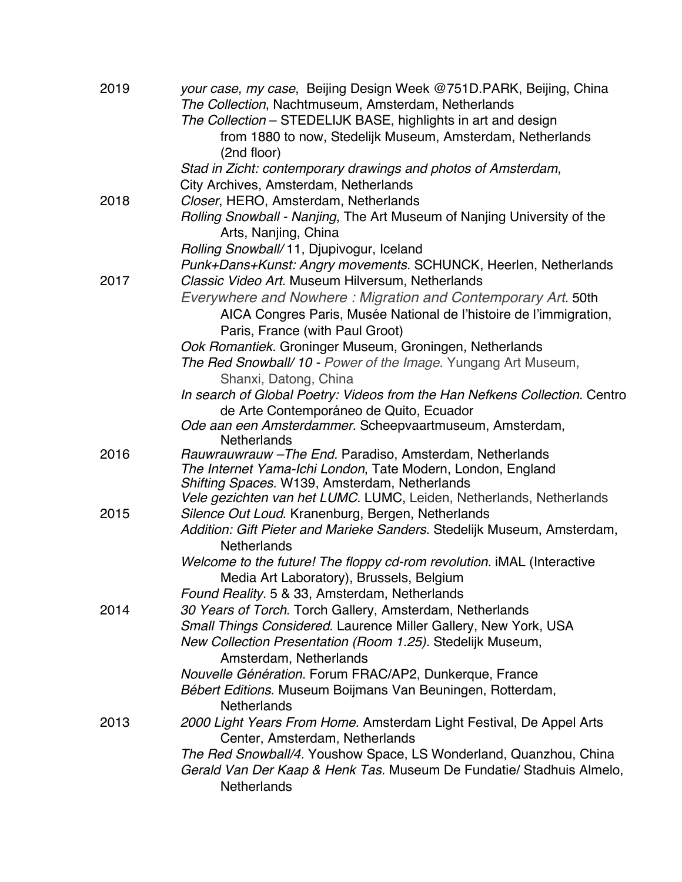| from 1880 to now, Stedelijk Museum, Amsterdam, Netherlands                 |
|----------------------------------------------------------------------------|
|                                                                            |
|                                                                            |
|                                                                            |
|                                                                            |
| Rolling Snowball - Nanjing, The Art Museum of Nanjing University of the    |
|                                                                            |
| Punk+Dans+Kunst: Angry movements. SCHUNCK, Heerlen, Netherlands            |
|                                                                            |
| Everywhere and Nowhere: Migration and Contemporary Art. 50th               |
| AICA Congres Paris, Musée National de l'histoire de l'immigration,         |
|                                                                            |
|                                                                            |
|                                                                            |
| In search of Global Poetry: Videos from the Han Nefkens Collection. Centro |
|                                                                            |
|                                                                            |
|                                                                            |
|                                                                            |
|                                                                            |
|                                                                            |
| Vele gezichten van het LUMC. LUMC, Leiden, Netherlands, Netherlands        |
| Addition: Gift Pieter and Marieke Sanders. Stedelijk Museum, Amsterdam,    |
|                                                                            |
|                                                                            |
|                                                                            |
|                                                                            |
|                                                                            |
|                                                                            |
|                                                                            |
|                                                                            |
|                                                                            |
|                                                                            |
|                                                                            |
| 2000 Light Years From Home. Amsterdam Light Festival, De Appel Arts        |
|                                                                            |
| The Red Snowball/4. Youshow Space, LS Wonderland, Quanzhou, China          |
| Gerald Van Der Kaap & Henk Tas. Museum De Fundatie/ Stadhuis Almelo,       |
|                                                                            |
| Welcome to the future! The floppy cd-rom revolution. iMAL (Interactive     |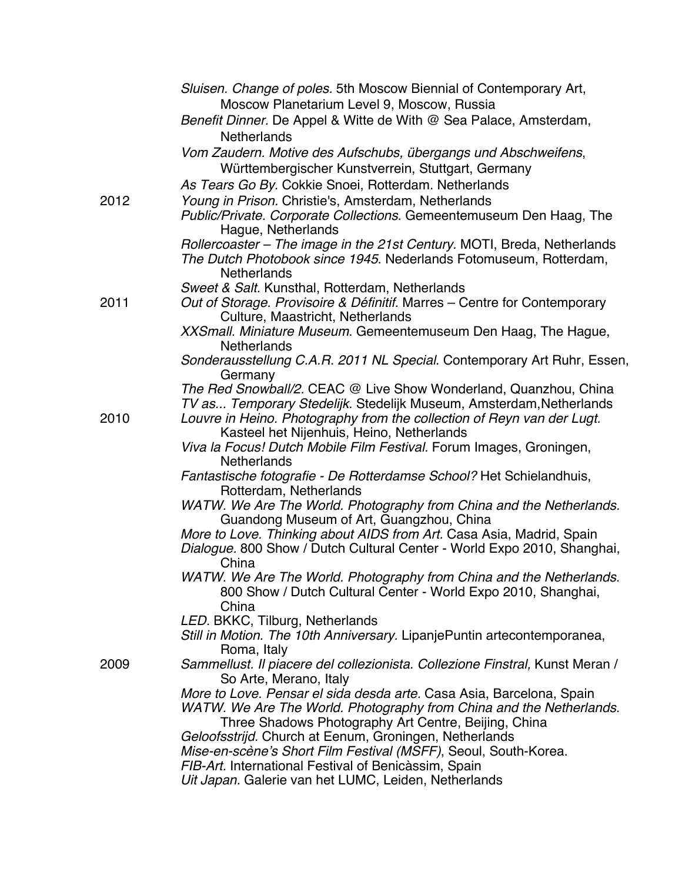|      | Sluisen. Change of poles. 5th Moscow Biennial of Contemporary Art,                                                                                                 |
|------|--------------------------------------------------------------------------------------------------------------------------------------------------------------------|
|      | Moscow Planetarium Level 9, Moscow, Russia                                                                                                                         |
|      | Benefit Dinner. De Appel & Witte de With @ Sea Palace, Amsterdam,<br><b>Netherlands</b>                                                                            |
|      | Vom Zaudern. Motive des Aufschubs, übergangs und Abschweifens,                                                                                                     |
|      | Württembergischer Kunstverrein, Stuttgart, Germany                                                                                                                 |
|      | As Tears Go By. Cokkie Snoei, Rotterdam. Netherlands                                                                                                               |
| 2012 | Young in Prison. Christie's, Amsterdam, Netherlands                                                                                                                |
|      | Public/Private. Corporate Collections. Gemeentemuseum Den Haag, The<br>Hague, Netherlands                                                                          |
|      | Rollercoaster - The image in the 21st Century. MOTI, Breda, Netherlands<br>The Dutch Photobook since 1945. Nederlands Fotomuseum, Rotterdam,<br><b>Netherlands</b> |
|      | Sweet & Salt. Kunsthal, Rotterdam, Netherlands                                                                                                                     |
| 2011 | Out of Storage. Provisoire & Définitif. Marres - Centre for Contemporary<br>Culture, Maastricht, Netherlands                                                       |
|      | XXSmall. Miniature Museum. Gemeentemuseum Den Haag, The Hague,<br><b>Netherlands</b>                                                                               |
|      | Sonderausstellung C.A.R. 2011 NL Special. Contemporary Art Ruhr, Essen,<br>Germany                                                                                 |
|      | The Red Snowball/2. CEAC @ Live Show Wonderland, Quanzhou, China                                                                                                   |
|      | TV as Temporary Stedelijk. Stedelijk Museum, Amsterdam, Netherlands                                                                                                |
| 2010 | Louvre in Heino. Photography from the collection of Reyn van der Lugt.<br>Kasteel het Nijenhuis, Heino, Netherlands                                                |
|      | Viva la Focus! Dutch Mobile Film Festival. Forum Images, Groningen,<br><b>Netherlands</b>                                                                          |
|      | Fantastische fotografie - De Rotterdamse School? Het Schielandhuis,<br>Rotterdam, Netherlands                                                                      |
|      | WATW. We Are The World. Photography from China and the Netherlands.<br>Guandong Museum of Art, Guangzhou, China                                                    |
|      | More to Love. Thinking about AIDS from Art. Casa Asia, Madrid, Spain                                                                                               |
|      | Dialogue. 800 Show / Dutch Cultural Center - World Expo 2010, Shanghai,<br>China                                                                                   |
|      | WATW. We Are The World. Photography from China and the Netherlands.<br>800 Show / Dutch Cultural Center - World Expo 2010, Shanghai,                               |
|      | China<br>LED. BKKC, Tilburg, Netherlands                                                                                                                           |
|      | Still in Motion. The 10th Anniversary. LipanjePuntin artecontemporanea,                                                                                            |
|      | Roma, Italy<br>Sammellust. Il piacere del collezionista. Collezione Finstral, Kunst Meran /                                                                        |
| 2009 | So Arte, Merano, Italy                                                                                                                                             |
|      | More to Love. Pensar el sida desda arte. Casa Asia, Barcelona, Spain                                                                                               |
|      | WATW. We Are The World. Photography from China and the Netherlands.                                                                                                |
|      | Three Shadows Photography Art Centre, Beijing, China                                                                                                               |
|      | Geloofsstrijd. Church at Eenum, Groningen, Netherlands                                                                                                             |
|      | Mise-en-scène's Short Film Festival (MSFF), Seoul, South-Korea.                                                                                                    |
|      | FIB-Art. International Festival of Benicàssim, Spain                                                                                                               |
|      | Uit Japan. Galerie van het LUMC, Leiden, Netherlands                                                                                                               |
|      |                                                                                                                                                                    |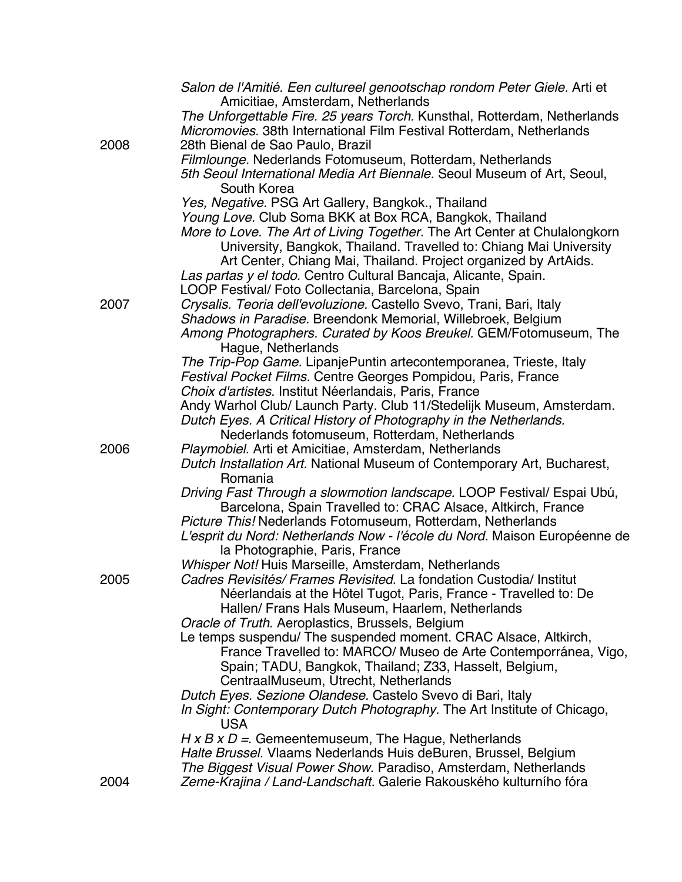|      | Salon de l'Amitié. Een cultureel genootschap rondom Peter Giele. Arti et<br>Amicitiae, Amsterdam, Netherlands                 |
|------|-------------------------------------------------------------------------------------------------------------------------------|
|      | The Unforgettable Fire. 25 years Torch. Kunsthal, Rotterdam, Netherlands                                                      |
|      | Micromovies. 38th International Film Festival Rotterdam, Netherlands                                                          |
| 2008 | 28th Bienal de Sao Paulo, Brazil                                                                                              |
|      | Filmlounge. Nederlands Fotomuseum, Rotterdam, Netherlands                                                                     |
|      | 5th Seoul International Media Art Biennale. Seoul Museum of Art, Seoul,                                                       |
|      | South Korea                                                                                                                   |
|      | Yes, Negative. PSG Art Gallery, Bangkok., Thailand                                                                            |
|      | Young Love. Club Soma BKK at Box RCA, Bangkok, Thailand                                                                       |
|      | More to Love. The Art of Living Together. The Art Center at Chulalongkorn                                                     |
|      | University, Bangkok, Thailand. Travelled to: Chiang Mai University                                                            |
|      | Art Center, Chiang Mai, Thailand. Project organized by ArtAids.                                                               |
|      | Las partas y el todo. Centro Cultural Bancaja, Alicante, Spain.                                                               |
|      | LOOP Festival/ Foto Collectania, Barcelona, Spain                                                                             |
| 2007 | Crysalis. Teoria dell'evoluzione. Castello Svevo, Trani, Bari, Italy                                                          |
|      | Shadows in Paradise. Breendonk Memorial, Willebroek, Belgium                                                                  |
|      | Among Photographers. Curated by Koos Breukel. GEM/Fotomuseum, The                                                             |
|      | Haque, Netherlands                                                                                                            |
|      | The Trip-Pop Game. LipanjePuntin artecontemporanea, Trieste, Italy                                                            |
|      | Festival Pocket Films. Centre Georges Pompidou, Paris, France                                                                 |
|      | Choix d'artistes. Institut Néerlandais, Paris, France<br>Andy Warhol Club/ Launch Party. Club 11/Stedelijk Museum, Amsterdam. |
|      | Dutch Eyes. A Critical History of Photography in the Netherlands.                                                             |
|      | Nederlands fotomuseum, Rotterdam, Netherlands                                                                                 |
| 2006 | Playmobiel. Arti et Amicitiae, Amsterdam, Netherlands                                                                         |
|      | Dutch Installation Art. National Museum of Contemporary Art, Bucharest,                                                       |
|      | Romania                                                                                                                       |
|      | Driving Fast Through a slowmotion landscape. LOOP Festival/ Espai Ubú,                                                        |
|      | Barcelona, Spain Travelled to: CRAC Alsace, Altkirch, France                                                                  |
|      | Picture This! Nederlands Fotomuseum, Rotterdam, Netherlands                                                                   |
|      | L'esprit du Nord: Netherlands Now - l'école du Nord. Maison Européenne de                                                     |
|      | la Photographie, Paris, France                                                                                                |
|      | Whisper Not! Huis Marseille, Amsterdam, Netherlands                                                                           |
| 2005 | Cadres Revisités/ Frames Revisited. La fondation Custodia/ Institut                                                           |
|      | Néerlandais at the Hôtel Tugot, Paris, France - Travelled to: De<br>Hallen/ Frans Hals Museum, Haarlem, Netherlands           |
|      | Oracle of Truth. Aeroplastics, Brussels, Belgium                                                                              |
|      | Le temps suspendu/ The suspended moment. CRAC Alsace, Altkirch,                                                               |
|      | France Travelled to: MARCO/ Museo de Arte Contemporránea, Vigo,                                                               |
|      | Spain; TADU, Bangkok, Thailand; Z33, Hasselt, Belgium,                                                                        |
|      | CentraalMuseum, Utrecht, Netherlands                                                                                          |
|      | Dutch Eyes. Sezione Olandese. Castelo Svevo di Bari, Italy                                                                    |
|      | In Sight: Contemporary Dutch Photography. The Art Institute of Chicago,                                                       |
|      | USA.                                                                                                                          |
|      | $H \times B \times D =$ . Gemeentemuseum, The Hague, Netherlands                                                              |
|      | Halte Brussel. Vlaams Nederlands Huis deBuren, Brussel, Belgium                                                               |
|      | The Biggest Visual Power Show. Paradiso, Amsterdam, Netherlands                                                               |
| 2004 | Zeme-Krajina / Land-Landschaft. Galerie Rakouského kulturního fóra                                                            |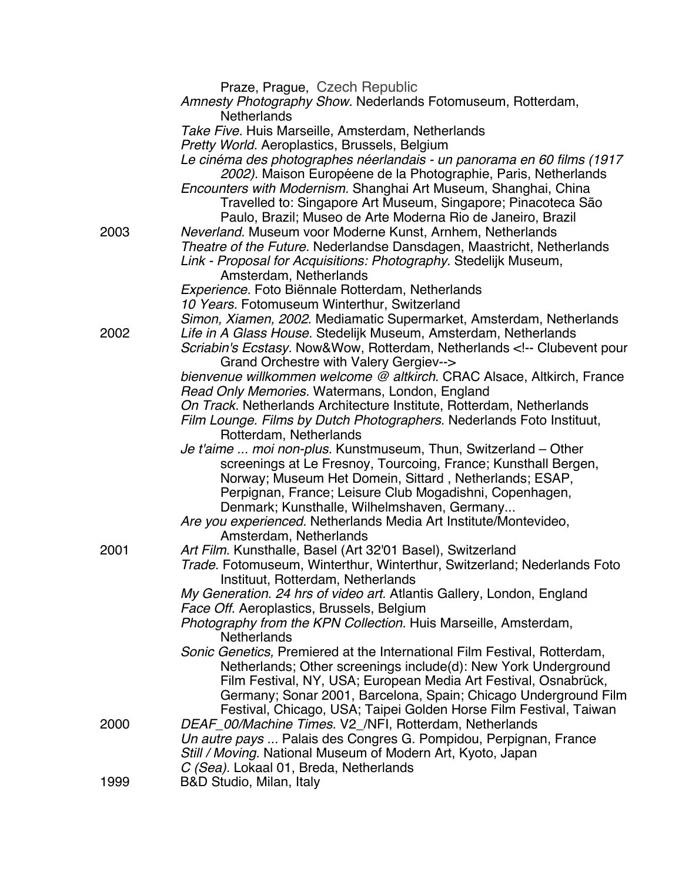|      | Praze, Prague, Czech Republic                                                                                                              |
|------|--------------------------------------------------------------------------------------------------------------------------------------------|
|      | Amnesty Photography Show. Nederlands Fotomuseum, Rotterdam,                                                                                |
|      | <b>Netherlands</b>                                                                                                                         |
|      | Take Five. Huis Marseille, Amsterdam, Netherlands                                                                                          |
|      | Pretty World. Aeroplastics, Brussels, Belgium                                                                                              |
|      | Le cinéma des photographes néerlandais - un panorama en 60 films (1917                                                                     |
|      | 2002). Maison Européene de la Photographie, Paris, Netherlands                                                                             |
|      | Encounters with Modernism. Shanghai Art Museum, Shanghai, China                                                                            |
|      | Travelled to: Singapore Art Museum, Singapore; Pinacoteca São                                                                              |
|      | Paulo, Brazil; Museo de Arte Moderna Rio de Janeiro, Brazil                                                                                |
| 2003 | Neverland. Museum voor Moderne Kunst, Arnhem, Netherlands                                                                                  |
|      | Theatre of the Future. Nederlandse Dansdagen, Maastricht, Netherlands                                                                      |
|      | Link - Proposal for Acquisitions: Photography. Stedelijk Museum,                                                                           |
|      | Amsterdam, Netherlands<br>Experience. Foto Biënnale Rotterdam, Netherlands                                                                 |
|      | 10 Years. Fotomuseum Winterthur, Switzerland                                                                                               |
|      | Simon, Xiamen, 2002. Mediamatic Supermarket, Amsterdam, Netherlands                                                                        |
| 2002 | Life in A Glass House. Stedelijk Museum, Amsterdam, Netherlands                                                                            |
|      | Scriabin's Ecstasy. Now&Wow, Rotterdam, Netherlands Clubevent pour</td></tr><tr><td></td><td>Grand Orchestre with Valery Gergiev           |
|      | bienvenue willkommen welcome @ altkirch. CRAC Alsace, Altkirch, France                                                                     |
|      | Read Only Memories. Watermans, London, England                                                                                             |
|      | On Track. Netherlands Architecture Institute, Rotterdam, Netherlands                                                                       |
|      | Film Lounge. Films by Dutch Photographers. Nederlands Foto Instituut,                                                                      |
|      | Rotterdam, Netherlands                                                                                                                     |
|      | Je t'aime  moi non-plus. Kunstmuseum, Thun, Switzerland - Other                                                                            |
|      | screenings at Le Fresnoy, Tourcoing, France; Kunsthall Bergen,                                                                             |
|      | Norway; Museum Het Domein, Sittard, Netherlands; ESAP,<br>Perpignan, France; Leisure Club Mogadishni, Copenhagen,                          |
|      | Denmark; Kunsthalle, Wilhelmshaven, Germany                                                                                                |
|      | Are you experienced. Netherlands Media Art Institute/Montevideo,                                                                           |
|      | Amsterdam, Netherlands                                                                                                                     |
| 2001 | Art Film. Kunsthalle, Basel (Art 32'01 Basel), Switzerland                                                                                 |
|      | Trade. Fotomuseum, Winterthur, Winterthur, Switzerland; Nederlands Foto                                                                    |
|      | Instituut, Rotterdam, Netherlands                                                                                                          |
|      | My Generation. 24 hrs of video art. Atlantis Gallery, London, England                                                                      |
|      | Face Off. Aeroplastics, Brussels, Belgium                                                                                                  |
|      | Photography from the KPN Collection. Huis Marseille, Amsterdam,                                                                            |
|      | <b>Netherlands</b>                                                                                                                         |
|      | Sonic Genetics, Premiered at the International Film Festival, Rotterdam,<br>Netherlands; Other screenings include(d): New York Underground |
|      | Film Festival, NY, USA; European Media Art Festival, Osnabrück,                                                                            |
|      | Germany; Sonar 2001, Barcelona, Spain; Chicago Underground Film                                                                            |
|      | Festival, Chicago, USA; Taipei Golden Horse Film Festival, Taiwan                                                                          |
| 2000 | DEAF_00/Machine Times. V2_/NFI, Rotterdam, Netherlands                                                                                     |
|      | Un autre pays  Palais des Congres G. Pompidou, Perpignan, France                                                                           |
|      | Still / Moving. National Museum of Modern Art, Kyoto, Japan                                                                                |
|      | C (Sea). Lokaal 01, Breda, Netherlands                                                                                                     |
| 1999 | B&D Studio, Milan, Italy                                                                                                                   |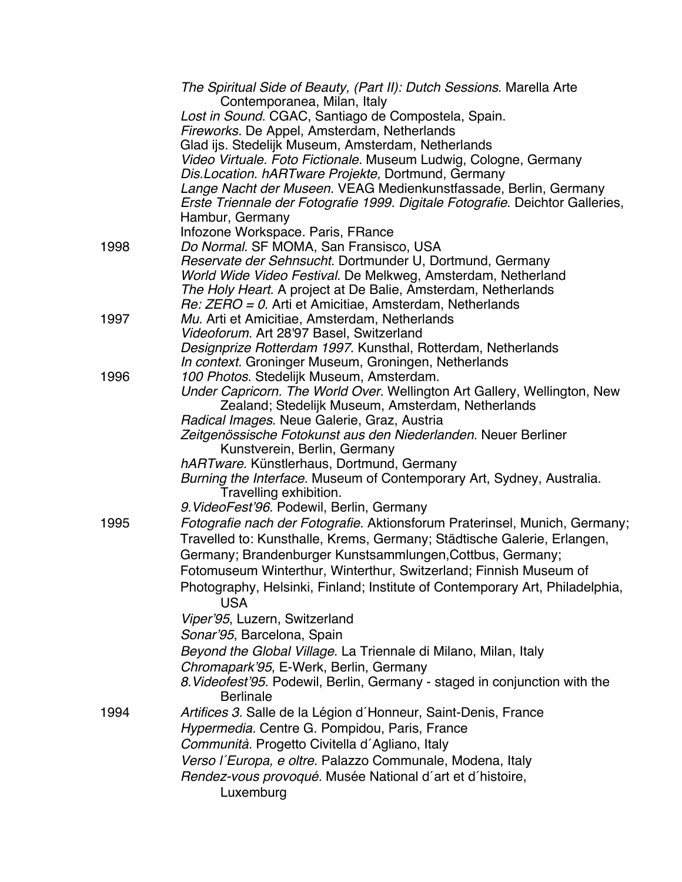|      | The Spiritual Side of Beauty, (Part II): Dutch Sessions. Marella Arte<br>Contemporanea, Milan, Italy                     |
|------|--------------------------------------------------------------------------------------------------------------------------|
|      | Lost in Sound. CGAC, Santiago de Compostela, Spain.                                                                      |
|      | Fireworks. De Appel, Amsterdam, Netherlands                                                                              |
|      | Glad ijs. Stedelijk Museum, Amsterdam, Netherlands                                                                       |
|      | Video Virtuale. Foto Fictionale. Museum Ludwig, Cologne, Germany                                                         |
|      | Dis. Location. hARTware Projekte, Dortmund, Germany                                                                      |
|      | Lange Nacht der Museen. VEAG Medienkunstfassade, Berlin, Germany                                                         |
|      | Erste Triennale der Fotografie 1999. Digitale Fotografie. Deichtor Galleries,                                            |
|      | Hambur, Germany                                                                                                          |
|      | Infozone Workspace. Paris, FRance                                                                                        |
| 1998 | Do Normal. SF MOMA, San Fransisco, USA                                                                                   |
|      | Reservate der Sehnsucht. Dortmunder U, Dortmund, Germany                                                                 |
|      | World Wide Video Festival. De Melkweg, Amsterdam, Netherland                                                             |
|      | The Holy Heart. A project at De Balie, Amsterdam, Netherlands<br>Re: ZERO = 0. Arti et Amicitiae, Amsterdam, Netherlands |
| 1997 | Mu. Arti et Amicitiae, Amsterdam, Netherlands                                                                            |
|      | Videoforum. Art 28'97 Basel, Switzerland                                                                                 |
|      | Designprize Rotterdam 1997. Kunsthal, Rotterdam, Netherlands                                                             |
|      | In context. Groninger Museum, Groningen, Netherlands                                                                     |
| 1996 | 100 Photos. Stedelijk Museum, Amsterdam.                                                                                 |
|      | Under Capricorn. The World Over. Wellington Art Gallery, Wellington, New                                                 |
|      | Zealand; Stedelijk Museum, Amsterdam, Netherlands                                                                        |
|      | Radical Images. Neue Galerie, Graz, Austria                                                                              |
|      | Zeitgenössische Fotokunst aus den Niederlanden. Neuer Berliner                                                           |
|      | Kunstverein, Berlin, Germany                                                                                             |
|      | hARTware. Künstlerhaus, Dortmund, Germany<br>Burning the Interface. Museum of Contemporary Art, Sydney, Australia.       |
|      | Travelling exhibition.                                                                                                   |
|      | 9. VideoFest'96. Podewil, Berlin, Germany                                                                                |
| 1995 | Fotografie nach der Fotografie. Aktionsforum Praterinsel, Munich, Germany;                                               |
|      | Travelled to: Kunsthalle, Krems, Germany; Städtische Galerie, Erlangen,                                                  |
|      | Germany; Brandenburger Kunstsammlungen, Cottbus, Germany;                                                                |
|      | Fotomuseum Winterthur, Winterthur, Switzerland; Finnish Museum of                                                        |
|      | Photography, Helsinki, Finland; Institute of Contemporary Art, Philadelphia,                                             |
|      | <b>USA</b>                                                                                                               |
|      | Viper'95, Luzern, Switzerland                                                                                            |
|      | Sonar'95, Barcelona, Spain                                                                                               |
|      | Beyond the Global Village. La Triennale di Milano, Milan, Italy                                                          |
|      | Chromapark'95, E-Werk, Berlin, Germany                                                                                   |
|      | 8. Videofest'95. Podewil, Berlin, Germany - staged in conjunction with the                                               |
|      | <b>Berlinale</b>                                                                                                         |
| 1994 | Artifices 3. Salle de la Légion d'Honneur, Saint-Denis, France                                                           |
|      | Hypermedia. Centre G. Pompidou, Paris, France                                                                            |
|      | Communità. Progetto Civitella d'Agliano, Italy                                                                           |
|      | Verso l'Europa, e oltre. Palazzo Communale, Modena, Italy                                                                |
|      | Rendez-vous provoqué. Musée National d'art et d'histoire,                                                                |
|      | Luxemburg                                                                                                                |
|      |                                                                                                                          |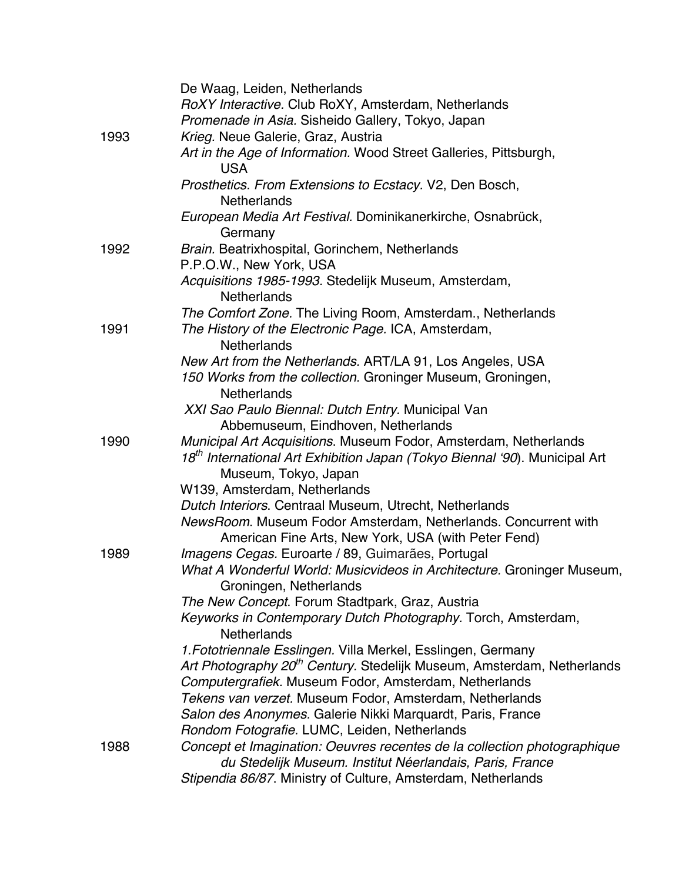|      | De Waag, Leiden, Netherlands                                                                                                         |
|------|--------------------------------------------------------------------------------------------------------------------------------------|
|      | RoXY Interactive. Club RoXY, Amsterdam, Netherlands                                                                                  |
|      | Promenade in Asia. Sisheido Gallery, Tokyo, Japan                                                                                    |
| 1993 | Krieg. Neue Galerie, Graz, Austria                                                                                                   |
|      | Art in the Age of Information. Wood Street Galleries, Pittsburgh,<br><b>USA</b>                                                      |
|      | Prosthetics. From Extensions to Ecstacy. V2, Den Bosch,<br><b>Netherlands</b>                                                        |
|      | European Media Art Festival. Dominikanerkirche, Osnabrück,<br>Germany                                                                |
| 1992 | Brain. Beatrixhospital, Gorinchem, Netherlands                                                                                       |
|      | P.P.O.W., New York, USA                                                                                                              |
|      | Acquisitions 1985-1993. Stedelijk Museum, Amsterdam,<br><b>Netherlands</b>                                                           |
|      | The Comfort Zone. The Living Room, Amsterdam., Netherlands                                                                           |
| 1991 | The History of the Electronic Page. ICA, Amsterdam,<br><b>Netherlands</b>                                                            |
|      | New Art from the Netherlands. ART/LA 91, Los Angeles, USA                                                                            |
|      | 150 Works from the collection. Groninger Museum, Groningen,<br><b>Netherlands</b>                                                    |
|      | XXI Sao Paulo Biennal: Dutch Entry. Municipal Van<br>Abbemuseum, Eindhoven, Netherlands                                              |
| 1990 | Municipal Art Acquisitions. Museum Fodor, Amsterdam, Netherlands                                                                     |
|      | 18 <sup>th</sup> International Art Exhibition Japan (Tokyo Biennal '90). Municipal Art<br>Museum, Tokyo, Japan                       |
|      | W139, Amsterdam, Netherlands                                                                                                         |
|      | Dutch Interiors. Centraal Museum, Utrecht, Netherlands                                                                               |
|      | NewsRoom. Museum Fodor Amsterdam, Netherlands. Concurrent with<br>American Fine Arts, New York, USA (with Peter Fend)                |
| 1989 | Imagens Cegas. Euroarte / 89, Guimarães, Portugal                                                                                    |
|      | What A Wonderful World: Musicvideos in Architecture. Groninger Museum,<br>Groningen, Netherlands                                     |
|      | The New Concept. Forum Stadtpark, Graz, Austria                                                                                      |
|      | Keyworks in Contemporary Dutch Photography. Torch, Amsterdam,<br><b>Netherlands</b>                                                  |
|      | 1. Fototriennale Esslingen. Villa Merkel, Esslingen, Germany                                                                         |
|      | Art Photography 20 <sup>th</sup> Century. Stedelijk Museum, Amsterdam, Netherlands                                                   |
|      | Computergrafiek. Museum Fodor, Amsterdam, Netherlands                                                                                |
|      | Tekens van verzet. Museum Fodor, Amsterdam, Netherlands                                                                              |
|      | Salon des Anonymes. Galerie Nikki Marquardt, Paris, France                                                                           |
|      | Rondom Fotografie. LUMC, Leiden, Netherlands                                                                                         |
| 1988 | Concept et Imagination: Oeuvres recentes de la collection photographique<br>du Stedelijk Museum. Institut Néerlandais, Paris, France |
|      | Stipendia 86/87. Ministry of Culture, Amsterdam, Netherlands                                                                         |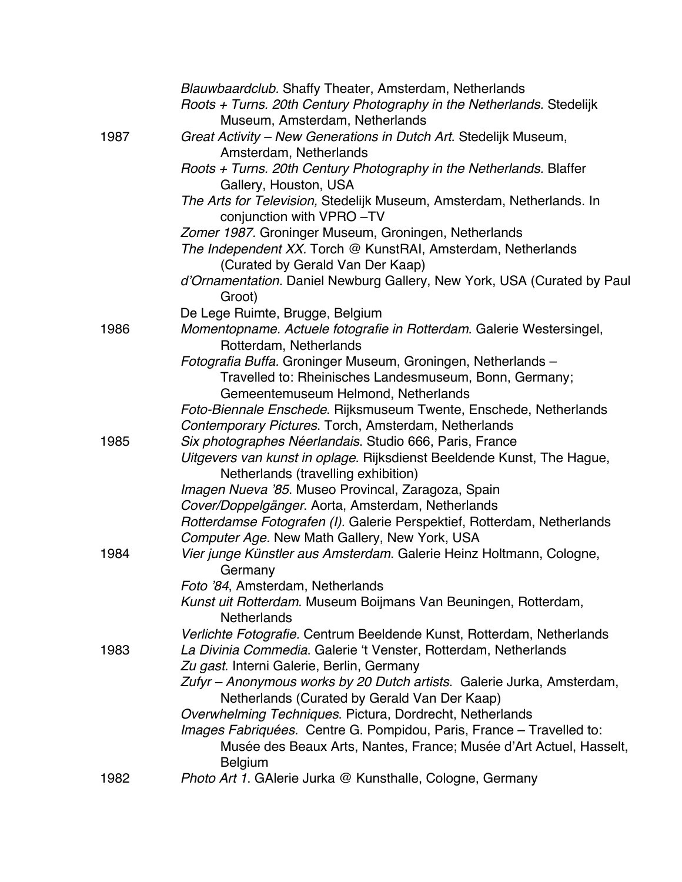|      | Blauwbaardclub. Shaffy Theater, Amsterdam, Netherlands                                                               |
|------|----------------------------------------------------------------------------------------------------------------------|
|      | Roots + Turns. 20th Century Photography in the Netherlands. Stedelijk                                                |
|      | Museum, Amsterdam, Netherlands                                                                                       |
| 1987 | Great Activity - New Generations in Dutch Art. Stedelijk Museum,                                                     |
|      | Amsterdam, Netherlands                                                                                               |
|      | Roots + Turns. 20th Century Photography in the Netherlands. Blaffer                                                  |
|      | Gallery, Houston, USA                                                                                                |
|      | The Arts for Television, Stedelijk Museum, Amsterdam, Netherlands. In                                                |
|      | conjunction with VPRO-TV                                                                                             |
|      | Zomer 1987. Groninger Museum, Groningen, Netherlands<br>The Independent XX. Torch @ KunstRAI, Amsterdam, Netherlands |
|      | (Curated by Gerald Van Der Kaap)                                                                                     |
|      | d'Ornamentation. Daniel Newburg Gallery, New York, USA (Curated by Paul                                              |
|      | Groot)                                                                                                               |
|      | De Lege Ruimte, Brugge, Belgium                                                                                      |
| 1986 | Momentopname. Actuele fotografie in Rotterdam. Galerie Westersingel,                                                 |
|      | Rotterdam, Netherlands                                                                                               |
|      | Fotografia Buffa. Groninger Museum, Groningen, Netherlands -                                                         |
|      | Travelled to: Rheinisches Landesmuseum, Bonn, Germany;                                                               |
|      | Gemeentemuseum Helmond, Netherlands                                                                                  |
|      | Foto-Biennale Enschede. Rijksmuseum Twente, Enschede, Netherlands                                                    |
|      | Contemporary Pictures. Torch, Amsterdam, Netherlands                                                                 |
| 1985 | Six photographes Néerlandais. Studio 666, Paris, France                                                              |
|      | Uitgevers van kunst in oplage. Rijksdienst Beeldende Kunst, The Hague,                                               |
|      | Netherlands (travelling exhibition)                                                                                  |
|      | Imagen Nueva '85. Museo Provincal, Zaragoza, Spain                                                                   |
|      | Cover/Doppelgänger. Aorta, Amsterdam, Netherlands                                                                    |
|      | Rotterdamse Fotografen (I). Galerie Perspektief, Rotterdam, Netherlands                                              |
|      | Computer Age. New Math Gallery, New York, USA                                                                        |
| 1984 | Vier junge Künstler aus Amsterdam. Galerie Heinz Holtmann, Cologne,                                                  |
|      | Germany                                                                                                              |
|      | Foto '84, Amsterdam, Netherlands                                                                                     |
|      | Kunst uit Rotterdam. Museum Boijmans Van Beuningen, Rotterdam,<br><b>Netherlands</b>                                 |
|      | Verlichte Fotografie. Centrum Beeldende Kunst, Rotterdam, Netherlands                                                |
| 1983 | La Divinia Commedia. Galerie 't Venster, Rotterdam, Netherlands                                                      |
|      | Zu gast. Interni Galerie, Berlin, Germany                                                                            |
|      | Zufyr - Anonymous works by 20 Dutch artists. Galerie Jurka, Amsterdam,                                               |
|      | Netherlands (Curated by Gerald Van Der Kaap)                                                                         |
|      | Overwhelming Techniques. Pictura, Dordrecht, Netherlands                                                             |
|      | Images Fabriquées. Centre G. Pompidou, Paris, France - Travelled to:                                                 |
|      | Musée des Beaux Arts, Nantes, France; Musée d'Art Actuel, Hasselt,                                                   |
|      | <b>Belgium</b>                                                                                                       |
| 1982 | Photo Art 1. GAlerie Jurka @ Kunsthalle, Cologne, Germany                                                            |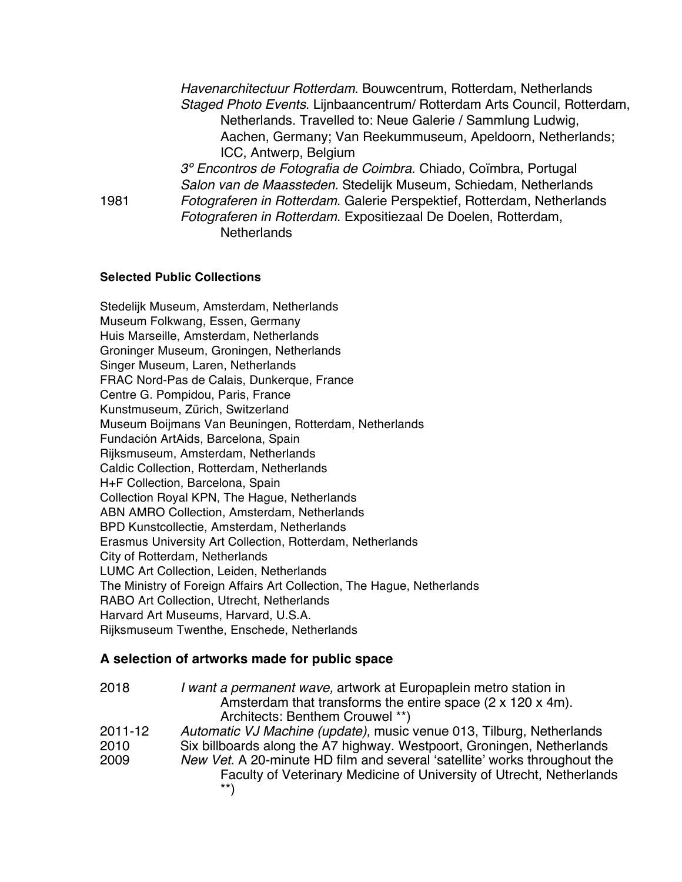| Havenarchitectuur Rotterdam. Bouwcentrum, Rotterdam, Netherlands         |
|--------------------------------------------------------------------------|
| Staged Photo Events. Lijnbaancentrum/ Rotterdam Arts Council, Rotterdam, |
| Netherlands. Travelled to: Neue Galerie / Sammlung Ludwig,               |
| Aachen, Germany; Van Reekummuseum, Apeldoorn, Netherlands;               |
| ICC, Antwerp, Belgium                                                    |
| 3º Encontros de Fotografia de Coimbra. Chiado, Coïmbra, Portugal         |
| Salon van de Maassteden. Stedelijk Museum, Schiedam, Netherlands         |
| Fotograferen in Rotterdam. Galerie Perspektief, Rotterdam, Netherlands   |
| Fotograferen in Rotterdam. Expositiezaal De Doelen, Rotterdam,           |
| <b>Netherlands</b>                                                       |
|                                                                          |

#### **Selected Public Collections**

Stedelijk Museum, Amsterdam, Netherlands Museum Folkwang, Essen, Germany Huis Marseille, Amsterdam, Netherlands Groninger Museum, Groningen, Netherlands Singer Museum, Laren, Netherlands FRAC Nord-Pas de Calais, Dunkerque, France Centre G. Pompidou, Paris, France Kunstmuseum, Zürich, Switzerland Museum Boijmans Van Beuningen, Rotterdam, Netherlands Fundación ArtAids, Barcelona, Spain Rijksmuseum, Amsterdam, Netherlands Caldic Collection, Rotterdam, Netherlands H+F Collection, Barcelona, Spain Collection Royal KPN, The Hague, Netherlands ABN AMRO Collection, Amsterdam, Netherlands BPD Kunstcollectie, Amsterdam, Netherlands Erasmus University Art Collection, Rotterdam, Netherlands City of Rotterdam, Netherlands LUMC Art Collection, Leiden, Netherlands The Ministry of Foreign Affairs Art Collection, The Hague, Netherlands RABO Art Collection, Utrecht, Netherlands Harvard Art Museums, Harvard, U.S.A. Rijksmuseum Twenthe, Enschede, Netherlands

### **A selection of artworks made for public space**

| 2018                    | I want a permanent wave, artwork at Europaplein metro station in<br>Amsterdam that transforms the entire space (2 x 120 x 4m).<br>Architects: Benthem Crouwel **)                                                                                                                                          |
|-------------------------|------------------------------------------------------------------------------------------------------------------------------------------------------------------------------------------------------------------------------------------------------------------------------------------------------------|
| 2011-12<br>2010<br>2009 | Automatic VJ Machine (update), music venue 013, Tilburg, Netherlands<br>Six billboards along the A7 highway. Westpoort, Groningen, Netherlands<br>New Vet. A 20-minute HD film and several 'satellite' works throughout the<br>Faculty of Veterinary Medicine of University of Utrecht, Netherlands<br>**\ |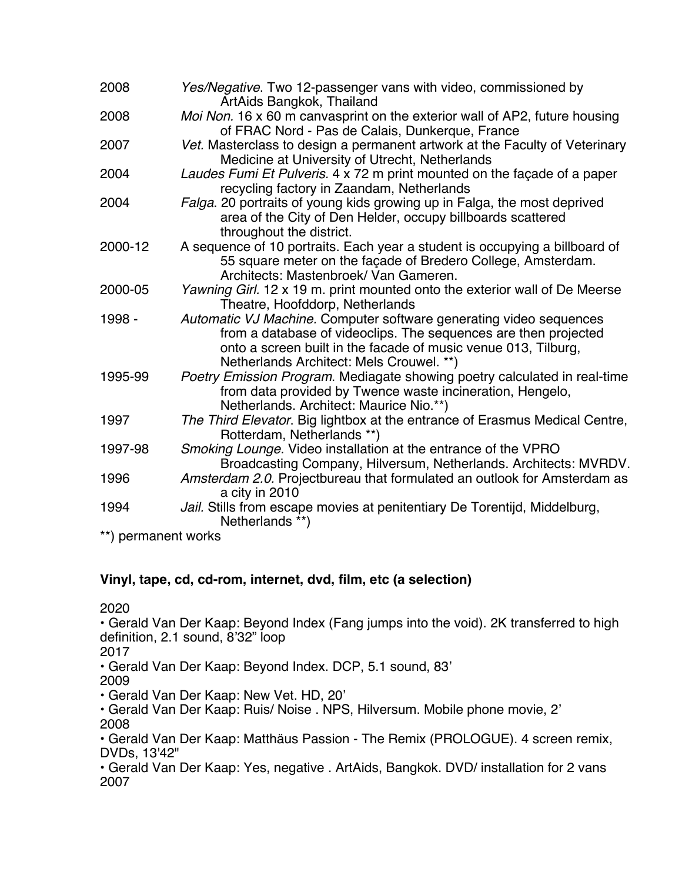| 2008                | Yes/Negative. Two 12-passenger vans with video, commissioned by<br>ArtAids Bangkok, Thailand                                                                                                                                                        |  |
|---------------------|-----------------------------------------------------------------------------------------------------------------------------------------------------------------------------------------------------------------------------------------------------|--|
| 2008                | Moi Non. 16 x 60 m canvasprint on the exterior wall of AP2, future housing<br>of FRAC Nord - Pas de Calais, Dunkerque, France                                                                                                                       |  |
| 2007                | Vet. Masterclass to design a permanent artwork at the Faculty of Veterinary<br>Medicine at University of Utrecht, Netherlands                                                                                                                       |  |
| 2004                | Laudes Fumi Et Pulveris. 4 x 72 m print mounted on the façade of a paper<br>recycling factory in Zaandam, Netherlands                                                                                                                               |  |
| 2004                | Falga. 20 portraits of young kids growing up in Falga, the most deprived<br>area of the City of Den Helder, occupy billboards scattered<br>throughout the district.                                                                                 |  |
| 2000-12             | A sequence of 10 portraits. Each year a student is occupying a billboard of<br>55 square meter on the façade of Bredero College, Amsterdam.<br>Architects: Mastenbroek/ Van Gameren.                                                                |  |
| 2000-05             | Yawning Girl. 12 x 19 m. print mounted onto the exterior wall of De Meerse<br>Theatre, Hoofddorp, Netherlands                                                                                                                                       |  |
| 1998 -              | Automatic VJ Machine. Computer software generating video sequences<br>from a database of videoclips. The sequences are then projected<br>onto a screen built in the facade of music venue 013, Tilburg,<br>Netherlands Architect: Mels Crouwel. **) |  |
| 1995-99             | Poetry Emission Program. Mediagate showing poetry calculated in real-time<br>from data provided by Twence waste incineration, Hengelo,<br>Netherlands. Architect: Maurice Nio.**)                                                                   |  |
| 1997                | The Third Elevator. Big lightbox at the entrance of Erasmus Medical Centre,<br>Rotterdam, Netherlands **)                                                                                                                                           |  |
| 1997-98             | Smoking Lounge. Video installation at the entrance of the VPRO<br>Broadcasting Company, Hilversum, Netherlands. Architects: MVRDV.                                                                                                                  |  |
| 1996                | Amsterdam 2.0. Projectbureau that formulated an outlook for Amsterdam as<br>a city in 2010                                                                                                                                                          |  |
| 1994                | Jail. Stills from escape movies at penitentiary De Torentijd, Middelburg,<br>Netherlands **)                                                                                                                                                        |  |
| **) permanent works |                                                                                                                                                                                                                                                     |  |

## **Vinyl, tape, cd, cd-rom, internet, dvd, film, etc (a selection)**

2020

• Gerald Van Der Kaap: Beyond Index (Fang jumps into the void). 2K transferred to high definition, 2.1 sound, 8'32" loop

2017

• Gerald Van Der Kaap: Beyond Index. DCP, 5.1 sound, 83'

2009

• Gerald Van Der Kaap: New Vet. HD, 20'

• Gerald Van Der Kaap: Ruis/ Noise . NPS, Hilversum. Mobile phone movie, 2' 2008

• Gerald Van Der Kaap: Matthäus Passion - The Remix (PROLOGUE). 4 screen remix, DVDs, 13'42"

• Gerald Van Der Kaap: Yes, negative . ArtAids, Bangkok. DVD/ installation for 2 vans 2007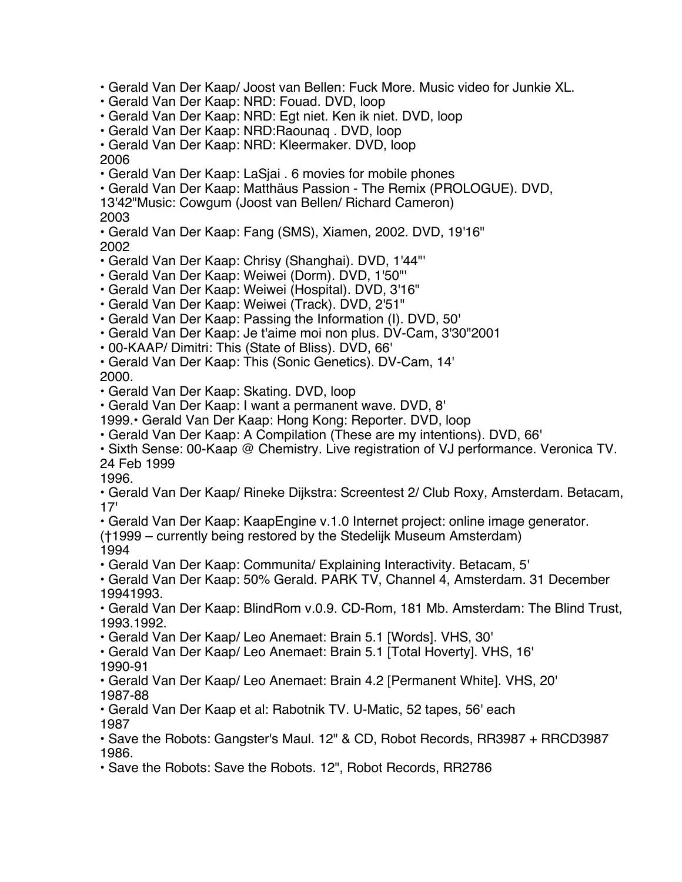• Gerald Van Der Kaap/ Joost van Bellen: Fuck More. Music video for Junkie XL.

• Gerald Van Der Kaap: NRD: Fouad. DVD, loop

• Gerald Van Der Kaap: NRD: Egt niet. Ken ik niet. DVD, loop

• Gerald Van Der Kaap: NRD:Raounaq . DVD, loop

• Gerald Van Der Kaap: NRD: Kleermaker. DVD, loop

2006

• Gerald Van Der Kaap: LaSjai . 6 movies for mobile phones

• Gerald Van Der Kaap: Matthäus Passion - The Remix (PROLOGUE). DVD,

13'42"Music: Cowgum (Joost van Bellen/ Richard Cameron) 2003

• Gerald Van Der Kaap: Fang (SMS), Xiamen, 2002. DVD, 19'16" 2002

• Gerald Van Der Kaap: Chrisy (Shanghai). DVD, 1'44"'

• Gerald Van Der Kaap: Weiwei (Dorm). DVD, 1'50"'

• Gerald Van Der Kaap: Weiwei (Hospital). DVD, 3'16"

• Gerald Van Der Kaap: Weiwei (Track). DVD, 2'51"

• Gerald Van Der Kaap: Passing the Information (I). DVD, 50'

• Gerald Van Der Kaap: Je t'aime moi non plus. DV-Cam, 3'30"2001

• 00-KAAP/ Dimitri: This (State of Bliss). DVD, 66'

• Gerald Van Der Kaap: This (Sonic Genetics). DV-Cam, 14' 2000.

• Gerald Van Der Kaap: Skating. DVD, loop

• Gerald Van Der Kaap: I want a permanent wave. DVD, 8'

1999.• Gerald Van Der Kaap: Hong Kong: Reporter. DVD, loop

• Gerald Van Der Kaap: A Compilation (These are my intentions). DVD, 66'

• Sixth Sense: 00-Kaap @ Chemistry. Live registration of VJ performance. Veronica TV. 24 Feb 1999

1996.

• Gerald Van Der Kaap/ Rineke Dijkstra: Screentest 2/ Club Roxy, Amsterdam. Betacam, 17'

• Gerald Van Der Kaap: KaapEngine v.1.0 Internet project: online image generator.

(†1999 – currently being restored by the Stedelijk Museum Amsterdam) 1994

• Gerald Van Der Kaap: Communita/ Explaining Interactivity. Betacam, 5'

• Gerald Van Der Kaap: 50% Gerald. PARK TV, Channel 4, Amsterdam. 31 December 19941993.

• Gerald Van Der Kaap: BlindRom v.0.9. CD-Rom, 181 Mb. Amsterdam: The Blind Trust, 1993.1992.

• Gerald Van Der Kaap/ Leo Anemaet: Brain 5.1 [Words]. VHS, 30'

• Gerald Van Der Kaap/ Leo Anemaet: Brain 5.1 [Total Hoverty]. VHS, 16'

1990-91

• Gerald Van Der Kaap/ Leo Anemaet: Brain 4.2 [Permanent White]. VHS, 20' 1987-88

• Gerald Van Der Kaap et al: Rabotnik TV. U-Matic, 52 tapes, 56' each 1987

• Save the Robots: Gangster's Maul. 12" & CD, Robot Records, RR3987 + RRCD3987 1986.

• Save the Robots: Save the Robots. 12", Robot Records, RR2786